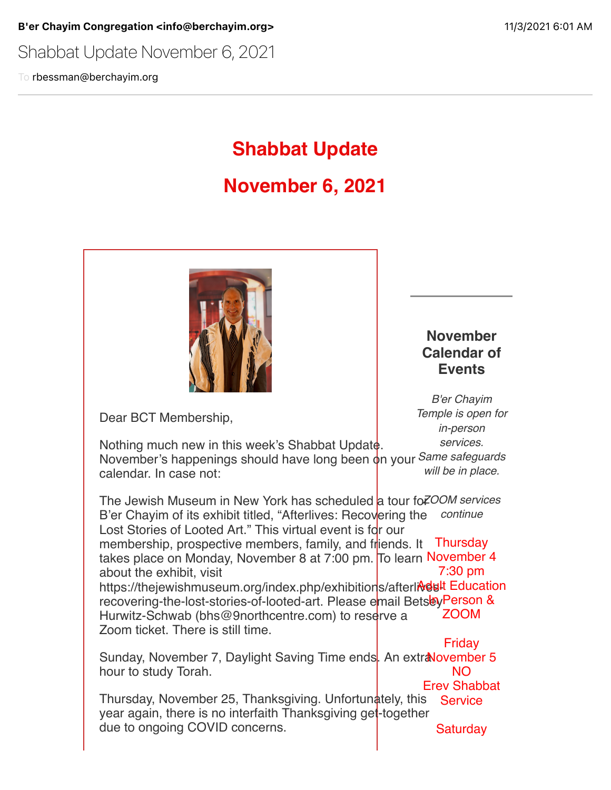Shabbat Update November 6, 2021

To rbessman@berchayim.org

# **Shabbat Update**

# **November 6, 2021**



Dear BCT Membership,

## **November Calendar of Events**

*B'er Chayim Temple is open for in-person services.*

Nothing much new in this week's Shabbat Update. November's happenings should have long been on your *Same safeguards* calendar. In case not: *will be in place.*

The Jewish Museum in New York has scheduled <mark>a tour fo *ZOOM services*</mark> B'er Chayim of its exhibit titled, "Afterlives: Recov<mark>ering the *continue*</mark> Lost Stories of Looted Art." This virtual event is for our membership, prospective members, family, and friends. It Thursday takes place on Monday, November 8 at 7:00 pm. To learn November 4 about the exhibit, visit https://thejewishmuseum.org/index.php/exhibition<mark>s/afterli**Ndul**t Education</mark> recovering-the-lost-stories-of-looted-art. Please e<mark>mail Bets</mark>eyPerson & Hurwitz-Schwab (bhs@9northcentre.com) to reserve a Zoom ticket. There is still time. 7:30 pm ZOOM Friday

Sunday, November 7, Daylight Saving Time ends. An extr**aNovember 5** hour to study Torah. NO

Thursday, November 25, Thanksgiving. Unfortunately, this year again, there is no interfaith Thanksgiving get-together due to ongoing COVID concerns. Erev Shabbat **Service Saturday**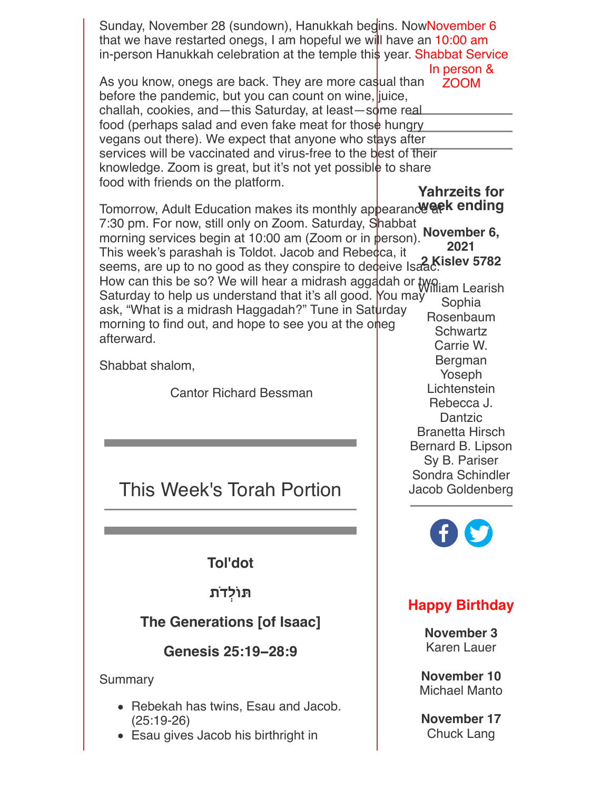| Sunday, November 28 (sundown), Hanukkah begins. NowNovember 6<br>that we have restarted onegs, I am hopeful we will have an 10:00 am<br>in-person Hanukkah celebration at the temple this year. Shabbat Service                                                                                                                                                                                                                                                                                                                                                                                                                          | In person &                                                                                                                                                        |
|------------------------------------------------------------------------------------------------------------------------------------------------------------------------------------------------------------------------------------------------------------------------------------------------------------------------------------------------------------------------------------------------------------------------------------------------------------------------------------------------------------------------------------------------------------------------------------------------------------------------------------------|--------------------------------------------------------------------------------------------------------------------------------------------------------------------|
| As you know, onegs are back. They are more casual than<br>before the pandemic, but you can count on wine, juice,<br>challah, cookies, and-this Saturday, at least-some real<br>food (perhaps salad and even fake meat for those hungry<br>vegans out there). We expect that anyone who stays after<br>services will be vaccinated and virus-free to the best of their<br>knowledge. Zoom is great, but it's not yet possible to share<br>food with friends on the platform.                                                                                                                                                              | <b>ZOOM</b><br><b>Yahrzeits for</b>                                                                                                                                |
| Tomorrow, Adult Education makes its monthly appearanc were ending<br>7:30 pm. For now, still only on Zoom. Saturday, Shabbat<br>morning services begin at 10:00 am (Zoom or in person).<br>This week's parashah is Toldot. Jacob and Rebecca, it<br>seems, are up to no good as they conspire to dedeive Isaac.<br>How can this be so? We will hear a midrash aggaddah or two lam Learish<br>Saturday to help us understand that it's all good. You may<br>ask, "What is a midrash Haggadah?" Tune in Saturday<br>morning to find out, and hope to see you at the oneg<br>afterward.<br>Shabbat shalom,<br><b>Cantor Richard Bessman</b> | November 6,<br>2021<br>Sophia<br>Rosenbaum<br><b>Schwartz</b><br>Carrie W.<br>Bergman<br>Yoseph<br>Lichtenstein<br>Rebecca J.<br>Dantzic<br><b>Branetta Hirsch</b> |
| This Week's Torah Portion                                                                                                                                                                                                                                                                                                                                                                                                                                                                                                                                                                                                                | Bernard B. Lipson<br>Sy B. Pariser<br>Sondra Schindler<br>Jacob Goldenberg<br><b>CERS</b>                                                                          |
| <b>Tol'dot</b>                                                                                                                                                                                                                                                                                                                                                                                                                                                                                                                                                                                                                           |                                                                                                                                                                    |
| תּוֹלְדֹת<br><b>The Generations [of Isaac]</b><br>Genesis 25:19-28:9                                                                                                                                                                                                                                                                                                                                                                                                                                                                                                                                                                     | <b>Happy Birthday</b><br>November 3<br><b>Karen Lauer</b>                                                                                                          |
| Summary                                                                                                                                                                                                                                                                                                                                                                                                                                                                                                                                                                                                                                  | <b>November 10</b>                                                                                                                                                 |

Rebekah has twins, Esau and Jacob. (25:19-26)

Esau gives Jacob his birthright in

**November 17** Chuck Lang

Michael Manto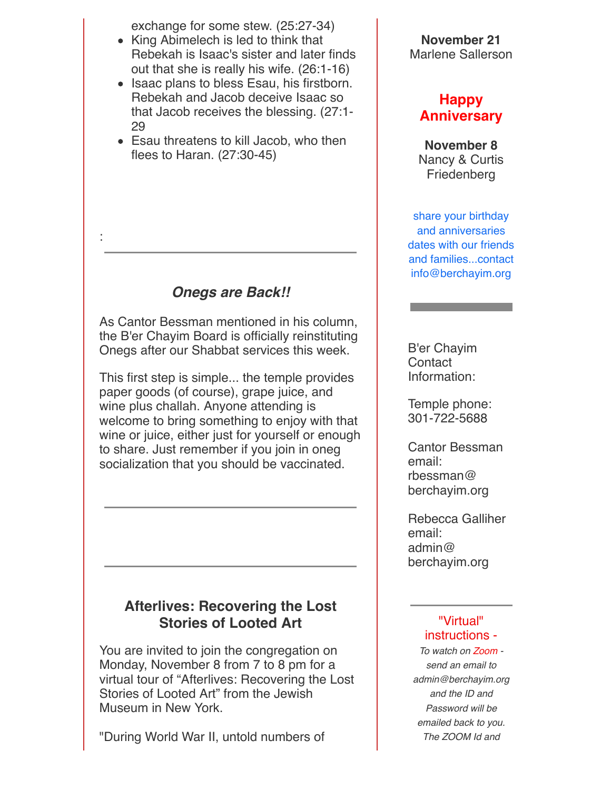exchange for some stew. (25:27-34)

- King Abimelech is led to think that Rebekah is Isaac's sister and later finds out that she is really his wife. (26:1-16)
- Isaac plans to bless Esau, his firstborn. Rebekah and Jacob deceive Isaac so that Jacob receives the blessing. (27:1- 29
- Esau threatens to kill Jacob, who then flees to Haran. (27:30-45)

## *Onegs are Back!!*

:

As Cantor Bessman mentioned in his column, the B'er Chayim Board is officially reinstituting Onegs after our Shabbat services this week.

This first step is simple... the temple provides paper goods (of course), grape juice, and wine plus challah. Anyone attending is welcome to bring something to enjoy with that wine or juice, either just for yourself or enough to share. Just remember if you join in oneg socialization that you should be vaccinated.

## **Afterlives: Recovering the Lost Stories of Looted Art**

You are invited to join the congregation on Monday, November 8 from 7 to 8 pm for a virtual tour of "Afterlives: Recovering the Lost Stories of Looted Art" from the Jewish Museum in New York.

"During World War II, untold numbers of

**November 21** Marlene Sallerson

### **Happy Anniversary**

**November 8** Nancy & Curtis Friedenberg

share your birthday and anniversaries dates with our friends and families...contact info@berchayim.org

B'er Chayim **Contact** Information:

Temple phone: 301-722-5688

Cantor Bessman email: rbessman@ berchayim.org

Rebecca Galliher email: admin@ berchayim.org

#### "Virtual" instructions -

*To watch on Zoom send an email to admin@berchayim.org and the ID and Password will be emailed back to you. The ZOOM Id and*